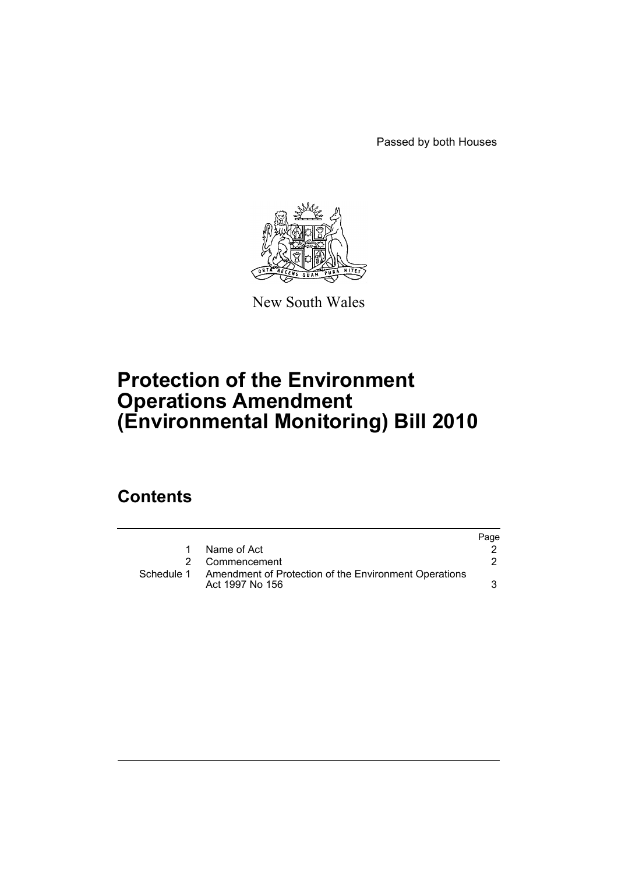Passed by both Houses



New South Wales

# **Protection of the Environment Operations Amendment (Environmental Monitoring) Bill 2010**

## **Contents**

|            |                                                                          | Page |
|------------|--------------------------------------------------------------------------|------|
| 1.         | Name of Act                                                              |      |
|            | 2 Commencement                                                           |      |
| Schedule 1 | Amendment of Protection of the Environment Operations<br>Act 1997 No 156 |      |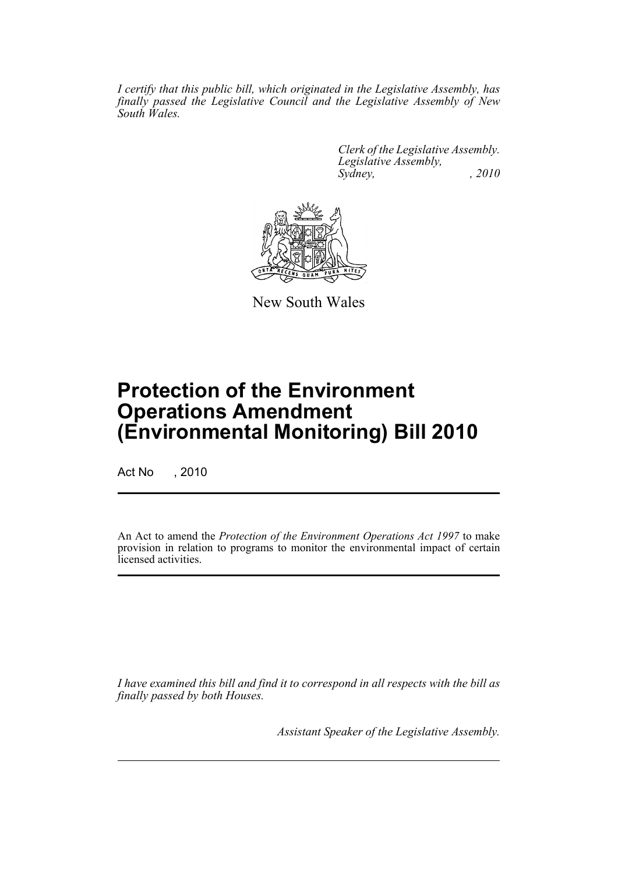*I certify that this public bill, which originated in the Legislative Assembly, has finally passed the Legislative Council and the Legislative Assembly of New South Wales.*

> *Clerk of the Legislative Assembly. Legislative Assembly, Sydney, , 2010*



New South Wales

# **Protection of the Environment Operations Amendment (Environmental Monitoring) Bill 2010**

Act No , 2010

An Act to amend the *Protection of the Environment Operations Act 1997* to make provision in relation to programs to monitor the environmental impact of certain licensed activities.

*I have examined this bill and find it to correspond in all respects with the bill as finally passed by both Houses.*

*Assistant Speaker of the Legislative Assembly.*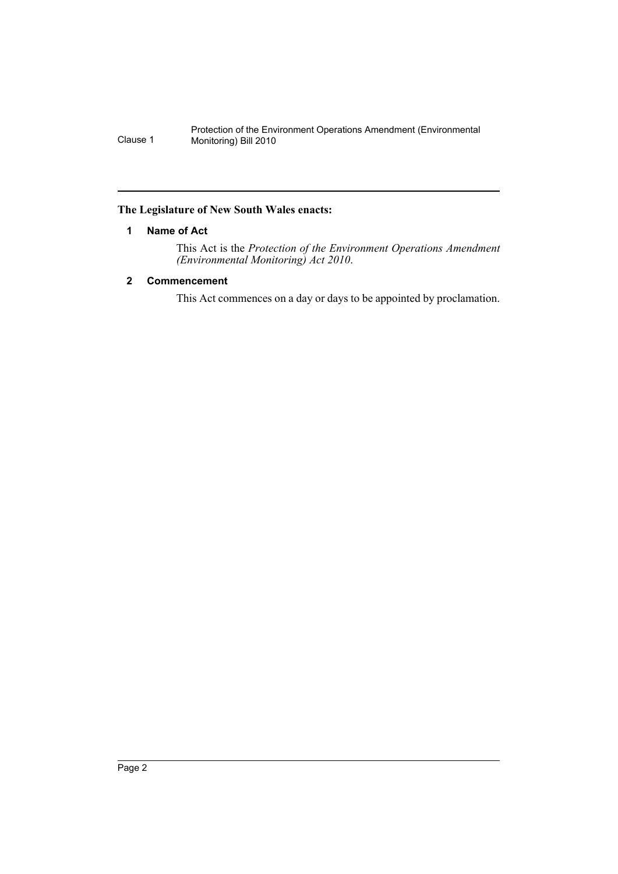Protection of the Environment Operations Amendment (Environmental Clause 1 Monitoring) Bill 2010

## <span id="page-2-0"></span>**The Legislature of New South Wales enacts:**

## **1 Name of Act**

This Act is the *Protection of the Environment Operations Amendment (Environmental Monitoring) Act 2010*.

## <span id="page-2-1"></span>**2 Commencement**

This Act commences on a day or days to be appointed by proclamation.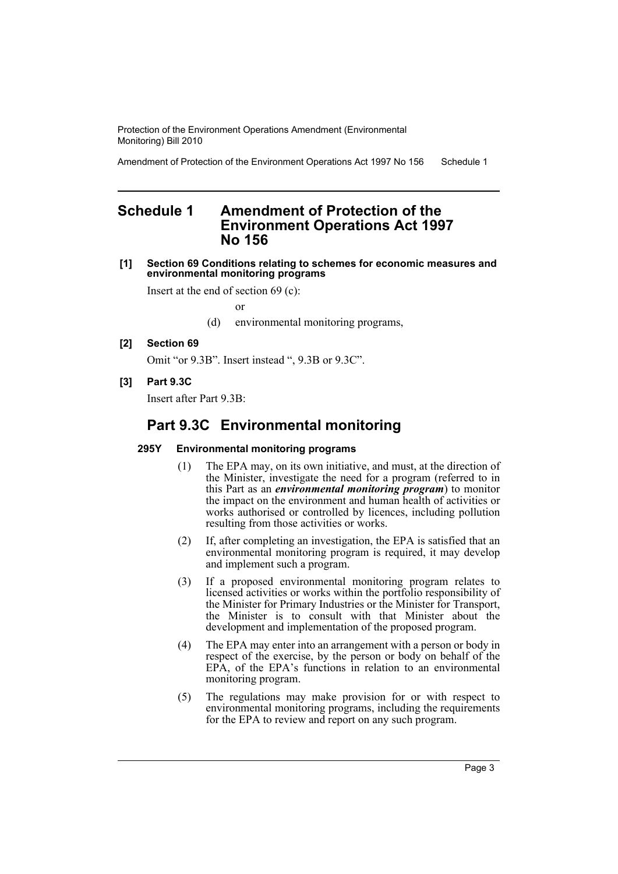Protection of the Environment Operations Amendment (Environmental Monitoring) Bill 2010

Amendment of Protection of the Environment Operations Act 1997 No 156 Schedule 1

## <span id="page-3-0"></span>**Schedule 1 Amendment of Protection of the Environment Operations Act 1997 No 156**

#### **[1] Section 69 Conditions relating to schemes for economic measures and environmental monitoring programs**

Insert at the end of section 69 (c):

or

- (d) environmental monitoring programs,
- **[2] Section 69**

Omit "or 9.3B". Insert instead ", 9.3B or 9.3C".

**[3] Part 9.3C**

Insert after Part 9.3B:

## **Part 9.3C Environmental monitoring**

### **295Y Environmental monitoring programs**

- (1) The EPA may, on its own initiative, and must, at the direction of the Minister, investigate the need for a program (referred to in this Part as an *environmental monitoring program*) to monitor the impact on the environment and human health of activities or works authorised or controlled by licences, including pollution resulting from those activities or works.
- (2) If, after completing an investigation, the EPA is satisfied that an environmental monitoring program is required, it may develop and implement such a program.
- (3) If a proposed environmental monitoring program relates to licensed activities or works within the portfolio responsibility of the Minister for Primary Industries or the Minister for Transport, the Minister is to consult with that Minister about the development and implementation of the proposed program.
- (4) The EPA may enter into an arrangement with a person or body in respect of the exercise, by the person or body on behalf of the EPA, of the EPA's functions in relation to an environmental monitoring program.
- (5) The regulations may make provision for or with respect to environmental monitoring programs, including the requirements for the EPA to review and report on any such program.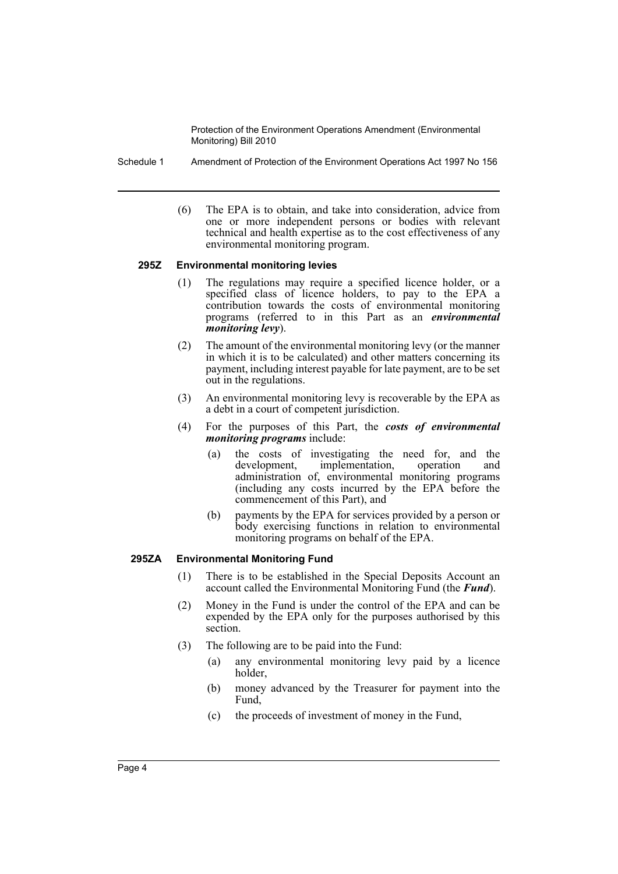Protection of the Environment Operations Amendment (Environmental Monitoring) Bill 2010

Schedule 1 Amendment of Protection of the Environment Operations Act 1997 No 156

(6) The EPA is to obtain, and take into consideration, advice from one or more independent persons or bodies with relevant technical and health expertise as to the cost effectiveness of any environmental monitoring program.

#### **295Z Environmental monitoring levies**

- (1) The regulations may require a specified licence holder, or a specified class of licence holders, to pay to the EPA a contribution towards the costs of environmental monitoring programs (referred to in this Part as an *environmental monitoring levy*).
- (2) The amount of the environmental monitoring levy (or the manner in which it is to be calculated) and other matters concerning its payment, including interest payable for late payment, are to be set out in the regulations.
- (3) An environmental monitoring levy is recoverable by the EPA as a debt in a court of competent jurisdiction.
- (4) For the purposes of this Part, the *costs of environmental monitoring programs* include:
	- (a) the costs of investigating the need for, and the development, implementation, operation and administration of, environmental monitoring programs (including any costs incurred by the EPA before the commencement of this Part), and
	- (b) payments by the EPA for services provided by a person or body exercising functions in relation to environmental monitoring programs on behalf of the EPA.

### **295ZA Environmental Monitoring Fund**

- (1) There is to be established in the Special Deposits Account an account called the Environmental Monitoring Fund (the *Fund*).
- (2) Money in the Fund is under the control of the EPA and can be expended by the EPA only for the purposes authorised by this section.
- (3) The following are to be paid into the Fund:
	- (a) any environmental monitoring levy paid by a licence holder,
	- (b) money advanced by the Treasurer for payment into the Fund.
	- (c) the proceeds of investment of money in the Fund,